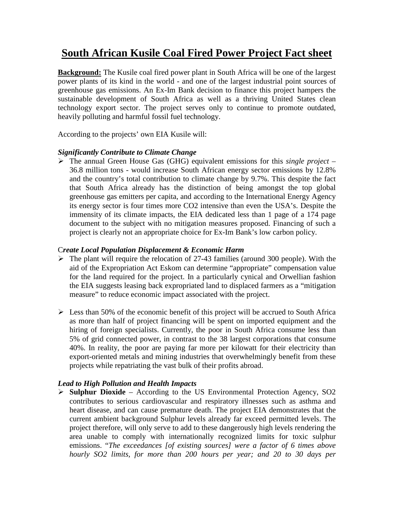## **South African Kusile Coal Fired Power Project Fact sheet**

**Background:** The Kusile coal fired power plant in South Africa will be one of the largest power plants of its kind in the world - and one of the largest industrial point sources of greenhouse gas emissions. An Ex-Im Bank decision to finance this project hampers the sustainable development of South Africa as well as a thriving United States clean technology export sector. The project serves only to continue to promote outdated, heavily polluting and harmful fossil fuel technology.

According to the projects' own EIA Kusile will:

## *Significantly Contribute to Climate Change*

 The annual Green House Gas (GHG) equivalent emissions for this *single project* – 36.8 million tons - would increase South African energy sector emissions by 12.8% and the country's total contribution to climate change by 9.7%. This despite the fact that South Africa already has the distinction of being amongst the top global greenhouse gas emitters per capita, and according to the International Energy Agency its energy sector is four times more CO2 intensive than even the USA's. Despite the immensity of its climate impacts, the EIA dedicated less than 1 page of a 174 page document to the subject with no mitigation measures proposed. Financing of such a project is clearly not an appropriate choice for Ex-Im Bank's low carbon policy.

## C*reate Local Population Displacement & Economic Harm*

- $\triangleright$  The plant will require the relocation of 27-43 families (around 300 people). With the aid of the Expropriation Act Eskom can determine "appropriate" compensation value for the land required for the project. In a particularly cynical and Orwellian fashion the EIA suggests leasing back expropriated land to displaced farmers as a "mitigation measure" to reduce economic impact associated with the project.
- $\triangleright$  Less than 50% of the economic benefit of this project will be accrued to South Africa as more than half of project financing will be spent on imported equipment and the hiring of foreign specialists. Currently, the poor in South Africa consume less than 5% of grid connected power, in contrast to the 38 largest corporations that consume 40%. In reality, the poor are paying far more per kilowatt for their electricity than export-oriented metals and mining industries that overwhelmingly benefit from these projects while repatriating the vast bulk of their profits abroad.

## *Lead to High Pollution and Health Impacts*

 **Sulphur Dioxide** – According to the US Environmental Protection Agency, SO2 contributes to serious cardiovascular and respiratory illnesses such as asthma and heart disease, and can cause premature death. The project EIA demonstrates that the current ambient background Sulphur levels already far exceed permitted levels. The project therefore, will only serve to add to these dangerously high levels rendering the area unable to comply with internationally recognized limits for toxic sulphur emissions. "*The exceedances [of existing sources] were a factor of 6 times above hourly SO2 limits, for more than 200 hours per year; and 20 to 30 days per*